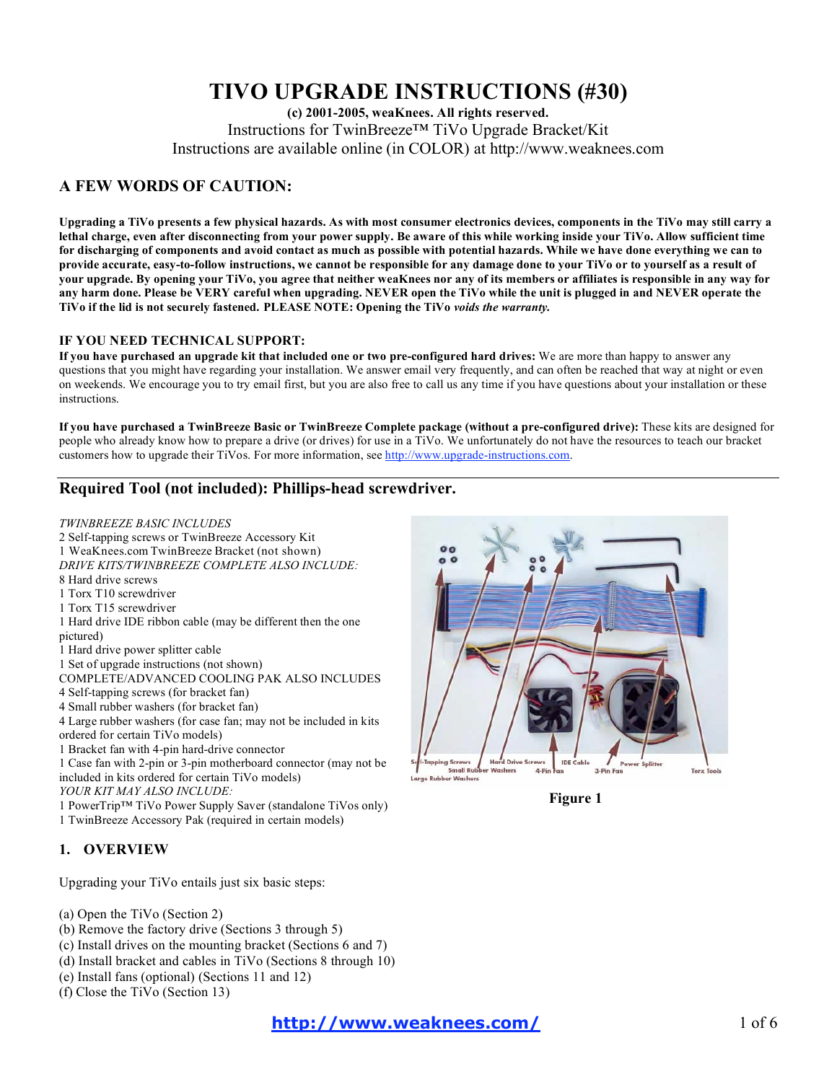# **TIVO UPGRADE INSTRUCTIONS (#30)**

**(c) 2001-2005, weaKnees. All rights reserved.** Instructions for TwinBreeze™ TiVo Upgrade Bracket/Kit Instructions are available online (in COLOR) at http://www.weaknees.com

# **A FEW WORDS OF CAUTION:**

Upgrading a TiVo presents a few physical hazards. As with most consumer electronics devices, components in the TiVo may still carry a lethal charge, even after disconnecting from your power supply. Be aware of this while working inside your TiVo. Allow sufficient time for discharging of components and avoid contact as much as possible with potential hazards. While we have done everything we can to provide accurate, easy-to-follow instructions, we cannot be responsible for any damage done to your TiVo or to yourself as a result of your upgrade. By opening your TiVo, you agree that neither weaKnees nor any of its members or affiliates is responsible in any way for any harm done. Please be VERY careful when upgrading. NEVER open the TiVo while the unit is plugged in and NEVER operate the **TiVo if the lid is not securely fastened. PLEASE NOTE: Opening the TiVo** *voids the warranty.*

## **IF YOU NEED TECHNICAL SUPPORT:**

If you have purchased an upgrade kit that included one or two pre-configured hard drives: We are more than happy to answer any questions that you might have regarding your installation. We answer email very frequently, and can often be reached that way at night or even on weekends. We encourage you to try email first, but you are also free to call us any time if you have questions about your installation or these instructions.

If you have purchased a TwinBreeze Basic or TwinBreeze Complete package (without a pre-configured drive): These kits are designed for people who already know how to prepare a drive (or drives) for use in a TiVo. We unfortunately do not have the resources to teach our bracket customers how to upgrade their TiVos. For more information, see http://www.upgrade-instructions.com.

# **Required Tool (not included): Phillips-head screwdriver.**

### *TWINBREEZE BASIC INCLUDES*

 Self-tapping screws or TwinBreeze Accessory Kit WeaKnees.com TwinBreeze Bracket (not shown) *DRIVE KITS/TWINBREEZE COMPLETE ALSO INCLUDE:* Hard drive screws Torx T10 screwdriver Torx T15 screwdriver Hard drive IDE ribbon cable (may be different then the one pictured) Hard drive power splitter cable Set of upgrade instructions (not shown) COMPLETE/ADVANCED COOLING PAK ALSO INCLUDES Self-tapping screws (for bracket fan) Small rubber washers (for bracket fan) Large rubber washers (for case fan; may not be included in kits ordered for certain TiVo models) Bracket fan with 4-pin hard-drive connector Case fan with 2-pin or 3-pin motherboard connector (may not be included in kits ordered for certain TiVo models) *YOUR KIT MAY ALSO INCLUDE:* PowerTrip™ TiVo Power Supply Saver (standalone TiVos only) TwinBreeze Accessory Pak (required in certain models)

# **1. OVERVIEW**

Upgrading your TiVo entails just six basic steps:

- (a) Open the TiVo (Section 2)
- (b) Remove the factory drive (Sections 3 through 5)
- (c) Install drives on the mounting bracket (Sections 6 and 7)
- (d) Install bracket and cables in TiVo (Sections 8 through 10)
- (e) Install fans (optional) (Sections 11 and 12)
- (f) Close the TiVo (Section 13)



**Figure 1**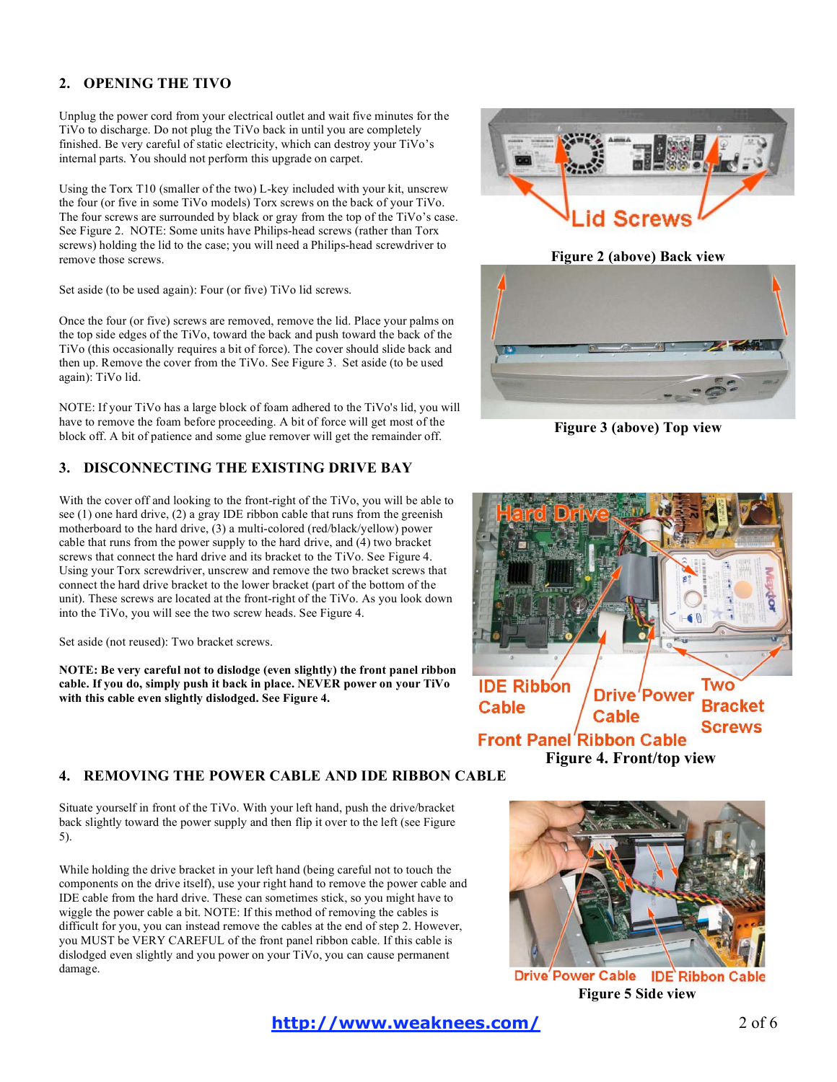# **2. OPENING THE TIVO**

Unplug the power cord from your electrical outlet and wait five minutes for the TiVo to discharge. Do not plug the TiVo back in until you are completely finished. Be very careful of static electricity, which can destroy your TiVo's internal parts. You should not perform this upgrade on carpet.

Using the Torx T10 (smaller of the two) L-key included with your kit, unscrew the four (or five in some TiVo models) Torx screws on the back of your TiVo. The four screws are surrounded by black or gray from the top of the TiVo's case. See Figure 2. NOTE: Some units have Philips-head screws (rather than Torx screws) holding the lid to the case; you will need a Philips-head screwdriver to remove those screws.

Set aside (to be used again): Four (or five) TiVo lid screws.

Once the four (or five) screws are removed, remove the lid. Place your palms on the top side edges of the TiVo, toward the back and push toward the back of the TiVo (this occasionally requires a bit of force). The cover should slide back and then up. Remove the cover from the TiVo. See Figure 3. Set aside (to be used again): TiVo lid.

NOTE: If your TiVo has a large block of foam adhered to the TiVo's lid, you will have to remove the foam before proceeding. A bit of force will get most of the block off. A bit of patience and some glue remover will get the remainder off.

# **3. DISCONNECTING THE EXISTING DRIVE BAY**

With the cover off and looking to the front-right of the TiVo, you will be able to see (1) one hard drive, (2) a gray IDE ribbon cable that runs from the greenish motherboard to the hard drive, (3) a multi-colored (red/black/yellow) power cable that runs from the power supply to the hard drive, and (4) two bracket screws that connect the hard drive and its bracket to the TiVo. See Figure 4. Using your Torx screwdriver, unscrew and remove the two bracket screws that connect the hard drive bracket to the lower bracket (part of the bottom of the unit). These screws are located at the front-right of the TiVo. As you look down into the TiVo, you will see the two screw heads. See Figure 4.

Set aside (not reused): Two bracket screws.

**NOTE: Be very careful not to dislodge (even slightly) the front panel ribbon cable. If you do, simply push it back in place. NEVER power on your TiVo with this cable even slightly dislodged. See Figure 4.**

## **4. REMOVING THE POWER CABLE AND IDE RIBBON CABLE**

Situate yourself in front of the TiVo. With your left hand, push the drive/bracket back slightly toward the power supply and then flip it over to the left (see Figure 5).

While holding the drive bracket in your left hand (being careful not to touch the components on the drive itself), use your right hand to remove the power cable and IDE cable from the hard drive. These can sometimes stick, so you might have to wiggle the power cable a bit. NOTE: If this method of removing the cables is difficult for you, you can instead remove the cables at the end of step 2. However, you MUST be VERY CAREFUL of the front panel ribbon cable. If this cable is dislodged even slightly and you power on your TiVo, you can cause permanent damage.



# **Figure 2 (above) Back view**



**Figure 3 (above) Top view**





Drive Power Cable IDE Ribbon Cable **Figure 5 Side view**

**http://www.weaknees.com/** 2 of 6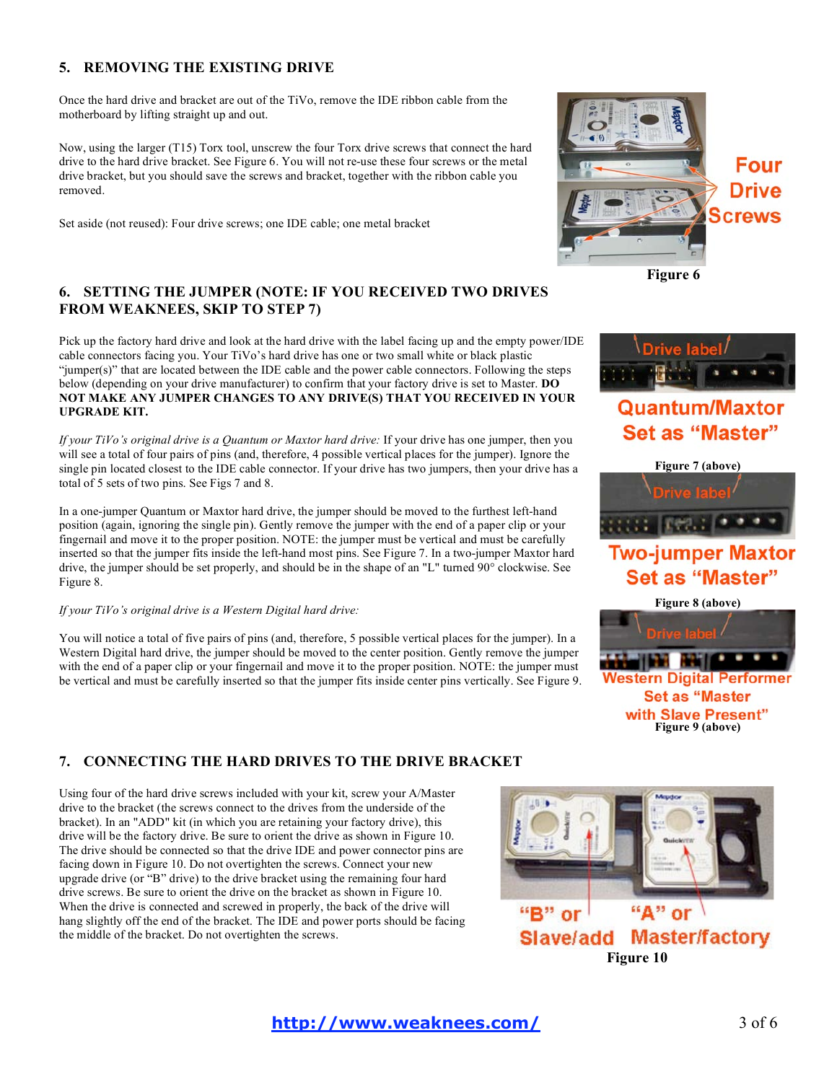# **5. REMOVING THE EXISTING DRIVE**

Once the hard drive and bracket are out of the TiVo, remove the IDE ribbon cable from the motherboard by lifting straight up and out.

Now, using the larger (T15) Torx tool, unscrew the four Torx drive screws that connect the hard drive to the hard drive bracket. See Figure 6. You will not re-use these four screws or the metal drive bracket, but you should save the screws and bracket, together with the ribbon cable you removed.

Set aside (not reused): Four drive screws; one IDE cable; one metal bracket

# **6. SETTING THE JUMPER (NOTE: IF YOU RECEIVED TWO DRIVES FROM WEAKNEES, SKIP TO STEP 7)**

Pick up the factory hard drive and look at the hard drive with the label facing up and the empty power/IDE cable connectors facing you. Your TiVo's hard drive has one or two small white or black plastic "jumper(s)" that are located between the IDE cable and the power cable connectors. Following the steps below (depending on your drive manufacturer) to confirm that your factory drive is set to Master. **DO NOT MAKE ANY JUMPER CHANGES TO ANY DRIVE(S) THAT YOU RECEIVED IN YOUR UPGRADE KIT.**

*If your TiVo's original drive is a Quantum or Maxtor hard drive:* If your drive has one jumper, then you will see a total of four pairs of pins (and, therefore, 4 possible vertical places for the jumper). Ignore the single pin located closest to the IDE cable connector. If your drive has two jumpers, then your drive has a total of 5 sets of two pins. See Figs 7 and 8.

In a one-jumper Quantum or Maxtor hard drive, the jumper should be moved to the furthest left-hand position (again, ignoring the single pin). Gently remove the jumper with the end of a paper clip or your fingernail and move it to the proper position. NOTE: the jumper must be vertical and must be carefully inserted so that the jumper fits inside the left-hand most pins. See Figure 7. In a two-jumper Maxtor hard drive, the jumper should be set properly, and should be in the shape of an "L" turned 90° clockwise. See Figure 8.

### *If your TiVo's original drive is a Western Digital hard drive:*

You will notice a total of five pairs of pins (and, therefore, 5 possible vertical places for the jumper). In a Western Digital hard drive, the jumper should be moved to the center position. Gently remove the jumper with the end of a paper clip or your fingernail and move it to the proper position. NOTE: the jumper must be vertical and must be carefully inserted so that the jumper fits inside center pins vertically. See Figure 9.



**Figure 6**



# Quantum/Maxtor **Set as "Master"**



# **Two-jumper Maxtor Set as "Master"**



**Set as "Master** with Slave Present" **Figure 9 (above)**

# **7. CONNECTING THE HARD DRIVES TO THE DRIVE BRACKET**

Using four of the hard drive screws included with your kit, screw your A/Master drive to the bracket (the screws connect to the drives from the underside of the bracket). In an "ADD" kit (in which you are retaining your factory drive), this drive will be the factory drive. Be sure to orient the drive as shown in Figure 10. The drive should be connected so that the drive IDE and power connector pins are facing down in Figure 10. Do not overtighten the screws. Connect your new upgrade drive (or "B" drive) to the drive bracket using the remaining four hard drive screws. Be sure to orient the drive on the bracket as shown in Figure 10. When the drive is connected and screwed in properly, the back of the drive will hang slightly off the end of the bracket. The IDE and power ports should be facing the middle of the bracket. Do not overtighten the screws.

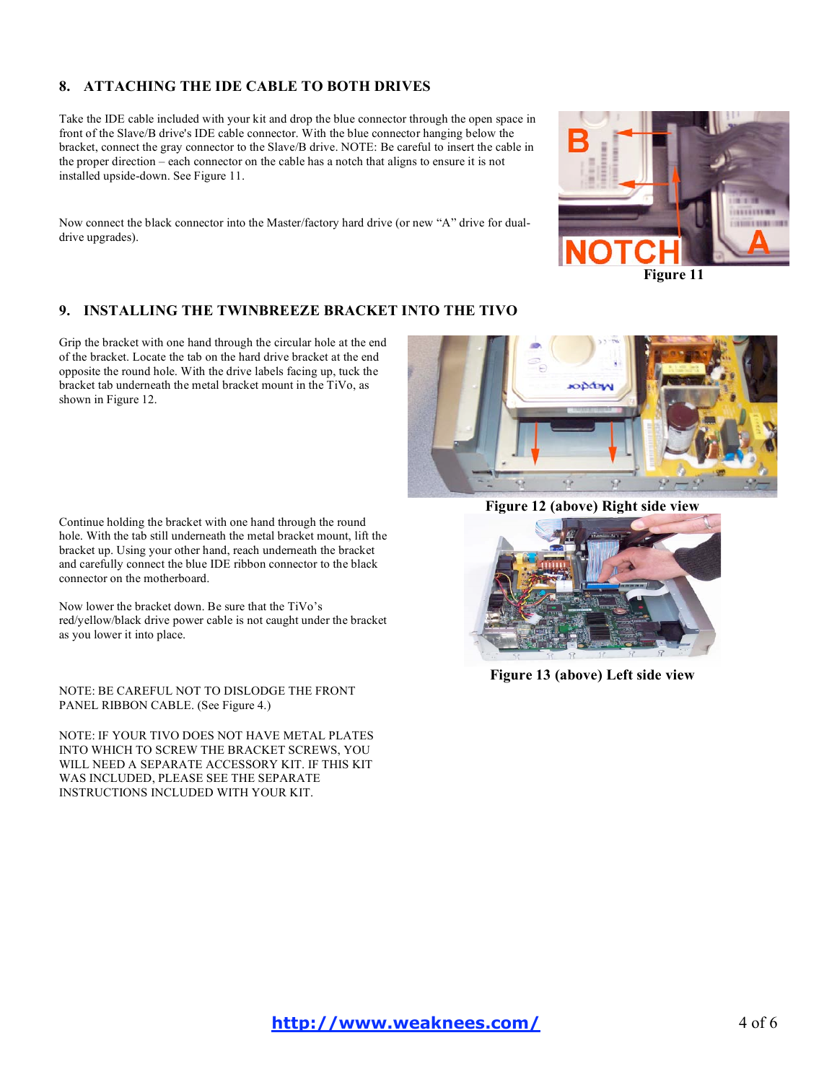# **8. ATTACHING THE IDE CABLE TO BOTH DRIVES**

Take the IDE cable included with your kit and drop the blue connector through the open space in front of the Slave/B drive's IDE cable connector. With the blue connector hanging below the bracket, connect the gray connector to the Slave/B drive. NOTE: Be careful to insert the cable in the proper direction – each connector on the cable has a notch that aligns to ensure it is not installed upside-down. See Figure 11.

Now connect the black connector into the Master/factory hard drive (or new "A" drive for dualdrive upgrades).



# **9. INSTALLING THE TWINBREEZE BRACKET INTO THE TIVO**

Grip the bracket with one hand through the circular hole at the end of the bracket. Locate the tab on the hard drive bracket at the end opposite the round hole. With the drive labels facing up, tuck the bracket tab underneath the metal bracket mount in the TiVo, as shown in Figure 12.

Continue holding the bracket with one hand through the round hole. With the tab still underneath the metal bracket mount, lift the bracket up. Using your other hand, reach underneath the bracket and carefully connect the blue IDE ribbon connector to the black connector on the motherboard.

Now lower the bracket down. Be sure that the TiVo's red/yellow/black drive power cable is not caught under the bracket as you lower it into place.

NOTE: BE CAREFUL NOT TO DISLODGE THE FRONT PANEL RIBBON CABLE. (See Figure 4.)

NOTE: IF YOUR TIVO DOES NOT HAVE METAL PLATES INTO WHICH TO SCREW THE BRACKET SCREWS, YOU WILL NEED A SEPARATE ACCESSORY KIT. IF THIS KIT WAS INCLUDED, PLEASE SEE THE SEPARATE INSTRUCTIONS INCLUDED WITH YOUR KIT.



**Figure 12 (above) Right side view**



**Figure 13 (above) Left side view**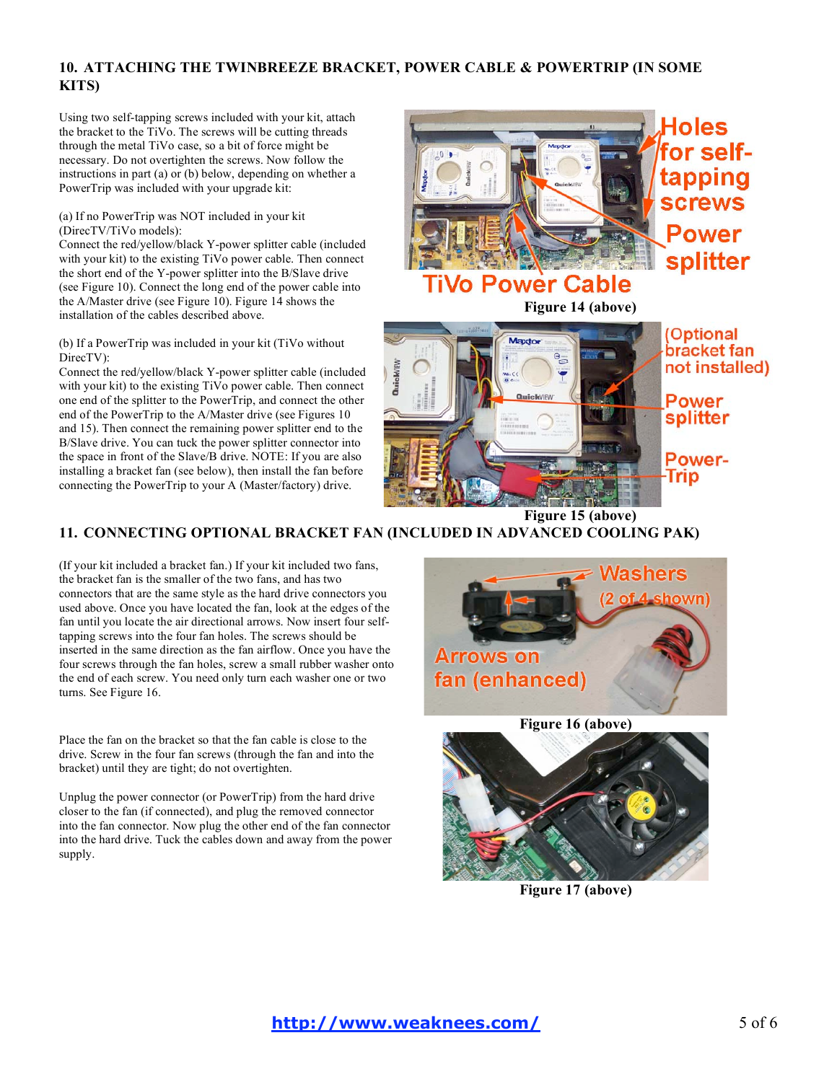# **10. ATTACHING THE TWINBREEZE BRACKET, POWER CABLE & POWERTRIP (IN SOME KITS)**

Using two self-tapping screws included with your kit, attach the bracket to the TiVo. The screws will be cutting threads through the metal TiVo case, so a bit of force might be necessary. Do not overtighten the screws. Now follow the instructions in part (a) or (b) below, depending on whether a PowerTrip was included with your upgrade kit:

### (a) If no PowerTrip was NOT included in your kit (DirecTV/TiVo models):

Connect the red/yellow/black Y-power splitter cable (included with your kit) to the existing TiVo power cable. Then connect the short end of the Y-power splitter into the B/Slave drive (see Figure 10). Connect the long end of the power cable into the A/Master drive (see Figure 10). Figure 14 shows the the A/Master drive (see Figure 10). Figure 14 shows the **Figure 14 (above)**<br>
installation of the cables described above.

### (b) If a PowerTrip was included in your kit (TiVo without DirecTV):

Connect the red/yellow/black Y-power splitter cable (included with your kit) to the existing TiVo power cable. Then connect one end of the splitter to the PowerTrip, and connect the other end of the PowerTrip to the A/Master drive (see Figures 10 and 15). Then connect the remaining power splitter end to the B/Slave drive. You can tuck the power splitter connector into the space in front of the Slave/B drive. NOTE: If you are also installing a bracket fan (see below), then install the fan before connecting the PowerTrip to your A (Master/factory) drive.



# splitter

# **o Power Cable**



**Optional** bracket fan not installed)

Power splitter

Power-Trip

# **11. CONNECTING OPTIONAL BRACKET FAN (INCLUDED IN ADVANCED COOLING PAK)**

(If your kit included a bracket fan.) If your kit included two fans, the bracket fan is the smaller of the two fans, and has two connectors that are the same style as the hard drive connectors you used above. Once you have located the fan, look at the edges of the fan until you locate the air directional arrows. Now insert four selftapping screws into the four fan holes. The screws should be inserted in the same direction as the fan airflow. Once you have the four screws through the fan holes, screw a small rubber washer onto the end of each screw. You need only turn each washer one or two turns. See Figure 16.

Place the fan on the bracket so that the fan cable is close to the drive. Screw in the four fan screws (through the fan and into the bracket) until they are tight; do not overtighten.

Unplug the power connector (or PowerTrip) from the hard drive closer to the fan (if connected), and plug the removed connector into the fan connector. Now plug the other end of the fan connector into the hard drive. Tuck the cables down and away from the power supply.





**Figure 17 (above)**